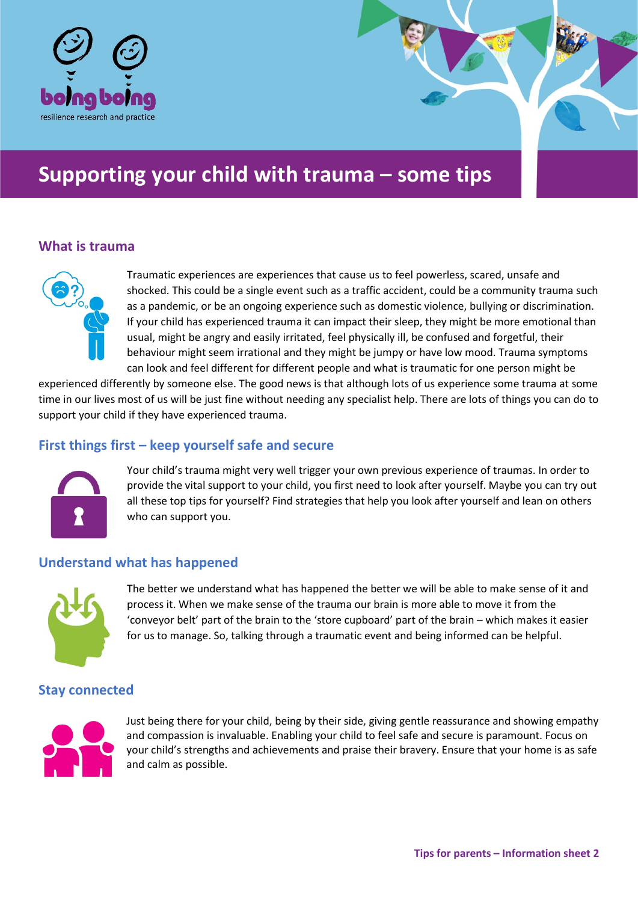

# **Supporting your child with trauma – some tips**

### **What is trauma**



Traumatic experiences are experiences that cause us to feel powerless, scared, unsafe and shocked. This could be a single event such as a traffic accident, could be a community trauma such as a pandemic, or be an ongoing experience such as domestic violence, bullying or discrimination. If your child has experienced trauma it can impact their sleep, they might be more emotional than usual, might be angry and easily irritated, feel physically ill, be confused and forgetful, their behaviour might seem irrational and they might be jumpy or have low mood. Trauma symptoms can look and feel different for different people and what is traumatic for one person might be

experienced differently by someone else. The good news is that although lots of us experience some trauma at some time in our lives most of us will be just fine without needing any specialist help. There are lots of things you can do to support your child if they have experienced trauma.

## **First things first – keep yourself safe and secure**



Your child's trauma might very well trigger your own previous experience of traumas. In order to provide the vital support to your child, you first need to look after yourself. Maybe you can try out all these top tips for yourself? Find strategies that help you look after yourself and lean on others who can support you.

### **Understand what has happened**



The better we understand what has happened the better we will be able to make sense of it and process it. When we make sense of the trauma our brain is more able to move it from the 'conveyor belt' part of the brain to the 'store cupboard' part of the brain – which makes it easier for us to manage. So, talking through a traumatic event and being informed can be helpful.

## **Stay connected**



Just being there for your child, being by their side, giving gentle reassurance and showing empathy and compassion is invaluable. Enabling your child to feel safe and secure is paramount. Focus on your child's strengths and achievements and praise their bravery. Ensure that your home is as safe and calm as possible.